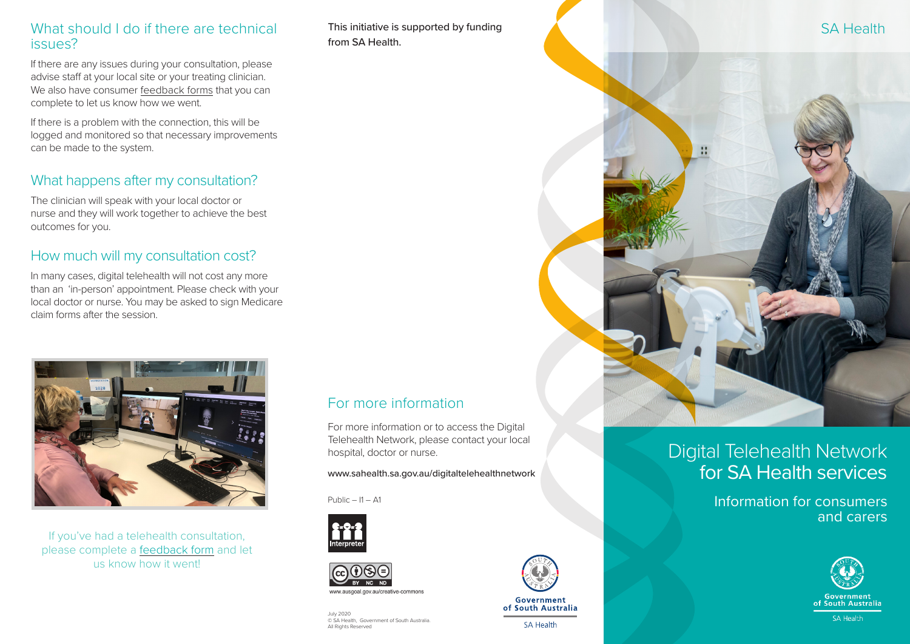#### What should I do if there are technical issues?

If there are any issues during your consultation, please advise staff at your local site or your treating clinician. We also have consumer [feedback forms](https://forms.office.com/Pages/ResponsePage.aspx?id=9yilvan8L0O8mL1-kNQJBrQxpyBvDnFAi2rygW1BkjpUMDFJQzZJM0FRSUU1SUZHTkFBUlMxODJaRyQlQCN0PWcu) that you can complete to let us know how we went.

If there is a problem with the connection, this will be logged and monitored so that necessary improvements can be made to the system.

# What happens after my consultation?

The clinician will speak with your local doctor or nurse and they will work together to achieve the best outcomes for you.

# How much will my consultation cost?

In many cases, digital telehealth will not cost any more than an 'in-person' appointment. Please check with your local doctor or nurse. You may be asked to sign Medicare claim forms after the session.



If you've had a telehealth consultation, please complete a [feedback form](https://forms.office.com/Pages/ResponsePage.aspx?id=9yilvan8L0O8mL1-kNQJBrQxpyBvDnFAi2rygW1BkjpUMDFJQzZJM0FRSUU1SUZHTkFBUlMxODJaRyQlQCN0PWcu) and let us know how it went!

This initiative is supported by funding from SA Health.

For more information

hospital, doctor or nurse.

© SA Health, Government of South Australia.

ww ausgoal gov au/creative-common

 $P<sub>U</sub>$ blic – I1 – A1

July 2020

All Rights Reserved

For more information or to access the Digital Telehealth Network, please contact your local

www.sahealth.sa.gov.au/digitaltelehealthnetwork



# Digital Telehealth Network for SA Health services

Information for consumers and carers





Government of South Australia

SA Health